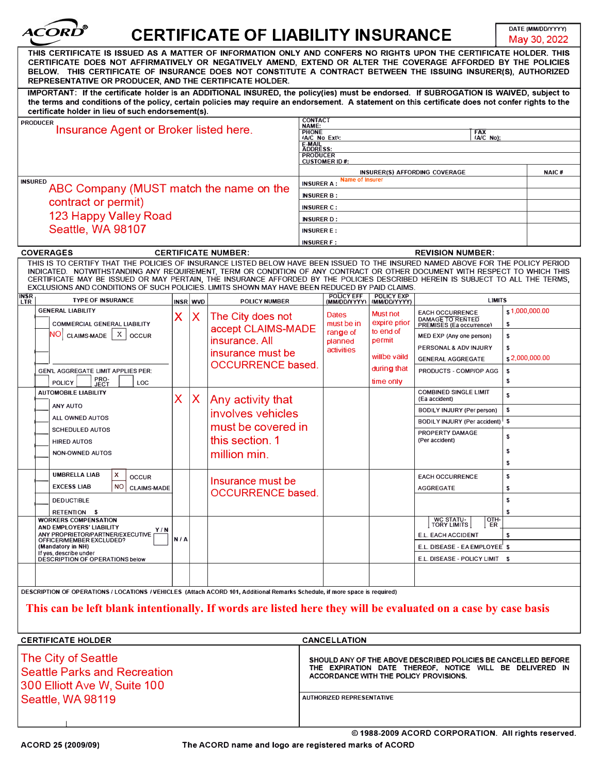|                                                                                                                                                                                                                                                                                                                                                                                                                                                                                                    |                                                    |          | <b>CERTIFICATE OF LIABILITY INSURANCE</b> |                                    |                                                                                                                            |                                                                        |                                                |                           | DATE (MM/DD/YYYY)<br>May 30, 2022 |  |
|----------------------------------------------------------------------------------------------------------------------------------------------------------------------------------------------------------------------------------------------------------------------------------------------------------------------------------------------------------------------------------------------------------------------------------------------------------------------------------------------------|----------------------------------------------------|----------|-------------------------------------------|------------------------------------|----------------------------------------------------------------------------------------------------------------------------|------------------------------------------------------------------------|------------------------------------------------|---------------------------|-----------------------------------|--|
| THIS CERTIFICATE IS ISSUED AS A MATTER OF INFORMATION ONLY AND CONFERS NO RIGHTS UPON THE CERTIFICATE HOLDER. THIS<br>CERTIFICATE DOES NOT AFFIRMATIVELY OR NEGATIVELY AMEND, EXTEND OR ALTER THE COVERAGE AFFORDED BY THE POLICIES<br>BELOW. THIS CERTIFICATE OF INSURANCE DOES NOT CONSTITUTE A CONTRACT BETWEEN THE ISSUING INSURER(S), AUTHORIZED<br>REPRESENTATIVE OR PRODUCER, AND THE CERTIFICATE HOLDER.                                                                                   |                                                    |          |                                           |                                    |                                                                                                                            |                                                                        |                                                |                           |                                   |  |
| IMPORTANT: If the certificate holder is an ADDITIONAL INSURED, the policy(ies) must be endorsed. If SUBROGATION IS WAIVED, subject to<br>the terms and conditions of the policy, certain policies may require an endorsement. A statement on this certificate does not confer rights to the<br>certificate holder in lieu of such endorsement(s).                                                                                                                                                  |                                                    |          |                                           |                                    |                                                                                                                            |                                                                        |                                                |                           |                                   |  |
| <b>PRODUCER</b><br>Insurance Agent or Broker listed here.                                                                                                                                                                                                                                                                                                                                                                                                                                          |                                                    |          |                                           |                                    | <b>CONTACT</b><br>NAME:<br><b>PHONE</b><br><b>FAX</b><br>(A/C No):<br>(A/C No Ext):<br>E-MAIL                              |                                                                        |                                                |                           |                                   |  |
|                                                                                                                                                                                                                                                                                                                                                                                                                                                                                                    |                                                    |          |                                           | <b>ADDRESS:</b><br><b>PRODUCER</b> | <b>CUSTOMER ID#:</b>                                                                                                       |                                                                        |                                                |                           |                                   |  |
|                                                                                                                                                                                                                                                                                                                                                                                                                                                                                                    |                                                    |          |                                           |                                    |                                                                                                                            |                                                                        | <b>INSURER(S) AFFORDING COVERAGE</b>           |                           | NAIC#                             |  |
| <b>INSURED</b><br>ABC Company (MUST match the name on the                                                                                                                                                                                                                                                                                                                                                                                                                                          |                                                    |          |                                           |                                    | <b>Name of Insurer</b><br><b>INSURER A:</b>                                                                                |                                                                        |                                                |                           |                                   |  |
| contract or permit)                                                                                                                                                                                                                                                                                                                                                                                                                                                                                |                                                    |          |                                           |                                    | <b>INSURER B:</b>                                                                                                          |                                                                        |                                                |                           |                                   |  |
|                                                                                                                                                                                                                                                                                                                                                                                                                                                                                                    |                                                    |          |                                           |                                    | <b>INSURER C:</b>                                                                                                          |                                                                        |                                                |                           |                                   |  |
| 123 Happy Valley Road                                                                                                                                                                                                                                                                                                                                                                                                                                                                              |                                                    |          |                                           |                                    | <b>INSURER D:</b>                                                                                                          |                                                                        |                                                |                           |                                   |  |
| Seattle, WA 98107                                                                                                                                                                                                                                                                                                                                                                                                                                                                                  |                                                    |          |                                           |                                    | <b>INSURER E:</b><br><b>INSURER F:</b>                                                                                     |                                                                        |                                                |                           |                                   |  |
| <b>COVERAGES</b>                                                                                                                                                                                                                                                                                                                                                                                                                                                                                   |                                                    |          | <b>CERTIFICATE NUMBER:</b>                |                                    |                                                                                                                            |                                                                        | <b>REVISION NUMBER:</b>                        |                           |                                   |  |
| THIS IS TO CERTIFY THAT THE POLICIES OF INSURANCE LISTED BELOW HAVE BEEN ISSUED TO THE INSURED NAMED ABOVE FOR THE POLICY PERIOD<br>INDICATED. NOTWITHSTANDING ANY REQUIREMENT, TERM OR CONDITION OF ANY CONTRACT OR OTHER DOCUMENT WITH RESPECT TO WHICH THIS<br>CERTIFICATE MAY BE ISSUED OR MAY PERTAIN, THE INSURANCE AFFORDED BY THE POLICIES DESCRIBED HEREIN IS SUBJECT TO ALL THE TERMS,<br>EXCLUSIONS AND CONDITIONS OF SUCH POLICIES. LIMITS SHOWN MAY HAVE BEEN REDUCED BY PAID CLAIMS. |                                                    |          |                                           |                                    |                                                                                                                            |                                                                        |                                                |                           |                                   |  |
| <b>INSR</b><br><b>TYPE OF INSURANCE</b><br><b>LTR</b>                                                                                                                                                                                                                                                                                                                                                                                                                                              |                                                    | INSR WVD | <b>POLICY NUMBER</b>                      |                                    | <b>POLICY EFF</b>                                                                                                          | <b>POLICY EXP</b><br>(MM/DD/YYYY)   (MM/DD/YYYY)                       | <b>LIMITS</b>                                  |                           |                                   |  |
| <b>GENERAL LIABILITY</b><br><b>COMMERCIAL GENERAL LIABILITY</b>                                                                                                                                                                                                                                                                                                                                                                                                                                    | X<br>The City does not<br>X.<br>accept CLAIMS-MADE |          |                                           | <b>Dates</b><br>must be in         | <b>Must not</b><br>expire prior                                                                                            | <b>EACH OCCURRENCE</b><br>DAMAGE TO RENTED<br>PREMISES (Ea occurrence) | \$1,000,000.00<br>s                            |                           |                                   |  |
| $NO$ CLAIMS-MADE $ X $<br><b>OCCUR</b>                                                                                                                                                                                                                                                                                                                                                                                                                                                             |                                                    |          | insurance. All                            |                                    | range of<br>planned                                                                                                        | to end of<br>permit                                                    | MED EXP (Any one person)                       | \$                        |                                   |  |
|                                                                                                                                                                                                                                                                                                                                                                                                                                                                                                    |                                                    |          | insurance must be                         |                                    | activities                                                                                                                 |                                                                        | PERSONAL & ADV INJURY                          | \$                        |                                   |  |
|                                                                                                                                                                                                                                                                                                                                                                                                                                                                                                    |                                                    |          | <b>OCCURRENCE based.</b>                  |                                    |                                                                                                                            | willbe vaild                                                           | <b>GENERAL AGGREGATE</b>                       | $\frac{1}{2}$ ,000,000.00 |                                   |  |
| GEN'L AGGREGATE LIMIT APPLIES PER:                                                                                                                                                                                                                                                                                                                                                                                                                                                                 |                                                    |          |                                           |                                    |                                                                                                                            | during that                                                            | PRODUCTS - COMP/OP AGG                         | s<br>s                    |                                   |  |
| PRO-<br>JECT<br><b>POLICY</b><br>LOC<br><b>AUTOMOBILE LIABILITY</b>                                                                                                                                                                                                                                                                                                                                                                                                                                | Χ                                                  | X        | Any activity that                         |                                    |                                                                                                                            | time only                                                              | <b>COMBINED SINGLE LIMIT</b><br>(Ea accident)  | $\mathbb S$               |                                   |  |
| ANY AUTO                                                                                                                                                                                                                                                                                                                                                                                                                                                                                           |                                                    |          | involves vehicles                         |                                    |                                                                                                                            |                                                                        | <b>BODILY INJURY (Per person)</b>              | s                         |                                   |  |
| ALL OWNED AUTOS                                                                                                                                                                                                                                                                                                                                                                                                                                                                                    |                                                    |          | must be covered in                        |                                    |                                                                                                                            |                                                                        | BODILY INJURY (Per accident)   \$              |                           |                                   |  |
| <b>SCHEDULED AUTOS</b><br><b>HIRED AUTOS</b>                                                                                                                                                                                                                                                                                                                                                                                                                                                       |                                                    |          | this section. 1                           |                                    |                                                                                                                            |                                                                        | PROPERTY DAMAGE<br>(Per accident)              | s                         |                                   |  |
| <b>NON-OWNED AUTOS</b>                                                                                                                                                                                                                                                                                                                                                                                                                                                                             |                                                    |          | million min.                              |                                    |                                                                                                                            |                                                                        |                                                | s                         |                                   |  |
| <b>UMBRELLA LIAB</b><br>x<br><b>OCCUR</b>                                                                                                                                                                                                                                                                                                                                                                                                                                                          |                                                    |          |                                           |                                    |                                                                                                                            |                                                                        | <b>EACH OCCURRENCE</b>                         | \$                        |                                   |  |
| <b>EXCESS LIAB</b><br><b>NO</b><br><b>CLAIMS-MADE</b>                                                                                                                                                                                                                                                                                                                                                                                                                                              |                                                    |          | Insurance must be                         |                                    |                                                                                                                            |                                                                        | <b>AGGREGATE</b>                               | s                         |                                   |  |
| <b>DEDUCTIBLE</b>                                                                                                                                                                                                                                                                                                                                                                                                                                                                                  |                                                    |          | <b>OCCURRENCE based.</b>                  |                                    |                                                                                                                            |                                                                        |                                                | \$                        |                                   |  |
| RETENTION \$<br><b>WORKERS COMPENSATION</b>                                                                                                                                                                                                                                                                                                                                                                                                                                                        |                                                    |          |                                           |                                    |                                                                                                                            |                                                                        | OTH-<br>WC STATU-                              |                           |                                   |  |
| AND EMPLOYERS' LIABILITY<br>Y/N<br>ANY PROPRIETOR/PARTNER/EXECUTIVE                                                                                                                                                                                                                                                                                                                                                                                                                                | N/A                                                |          |                                           |                                    |                                                                                                                            |                                                                        | <b>TORY LIMITS</b><br>ER<br>E.L. EACH ACCIDENT | \$                        |                                   |  |
| OFFICER/MEMBER EXCLUDED?<br>(Mandatory in NH)                                                                                                                                                                                                                                                                                                                                                                                                                                                      |                                                    |          |                                           |                                    |                                                                                                                            |                                                                        | E.L. DISEASE - EA EMPLOYEE \$                  |                           |                                   |  |
| If yes, describe under<br><b>DESCRIPTION OF OPERATIONS below</b>                                                                                                                                                                                                                                                                                                                                                                                                                                   |                                                    |          |                                           |                                    | E.L. DISEASE - POLICY LIMIT \$                                                                                             |                                                                        |                                                |                           |                                   |  |
|                                                                                                                                                                                                                                                                                                                                                                                                                                                                                                    |                                                    |          |                                           |                                    |                                                                                                                            |                                                                        |                                                |                           |                                   |  |
| DESCRIPTION OF OPERATIONS / LOCATIONS / VEHICLES (Attach ACORD 101, Additional Remarks Schedule, if more space is required)<br>This can be left blank intentionally. If words are listed here they will be evaluated on a case by case basis                                                                                                                                                                                                                                                       |                                                    |          |                                           |                                    |                                                                                                                            |                                                                        |                                                |                           |                                   |  |
| <b>CERTIFICATE HOLDER</b>                                                                                                                                                                                                                                                                                                                                                                                                                                                                          |                                                    |          |                                           |                                    | <b>CANCELLATION</b>                                                                                                        |                                                                        |                                                |                           |                                   |  |
| The City of Seattle                                                                                                                                                                                                                                                                                                                                                                                                                                                                                |                                                    |          |                                           |                                    | SHOULD ANY OF THE ABOVE DESCRIBED POLICIES BE CANCELLED BEFORE<br>THE EXPIRATION DATE THEREOF, NOTICE WILL BE DELIVERED IN |                                                                        |                                                |                           |                                   |  |
| <b>Seattle Parks and Recreation</b>                                                                                                                                                                                                                                                                                                                                                                                                                                                                |                                                    |          |                                           |                                    | ACCORDANCE WITH THE POLICY PROVISIONS.                                                                                     |                                                                        |                                                |                           |                                   |  |

d Recreation 300 Elliott Ave W, Suite 100 Seattle, WA 98119 **AUTHORIZED REPRESENTATIVE** 

© 1988-2009 ACORD CORPORATION. All rights reserved.

I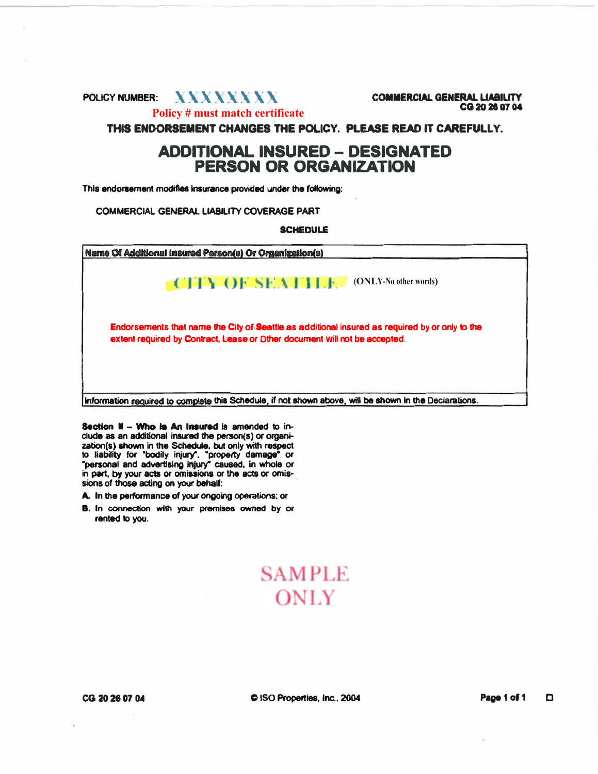### POLICY NUMBER: **XXXXXXXX COMMERCIAL GENERAL LIABILITY Policy # must match certificate**

CG 20 26 07 04

THIS ENDORSEMENT CHANGES THE POLICY. PLEASE READ IT CAREFULLY.

# **ADDITIONAL INSURED - DESIGNATED PERSON OR ORGANIZATION**

**This endorsement modtfles Insurance provided under the following:** 

**COMMERCIAL GENERAL LIABILITY COVERAGE PART** 

**SCHEDULE** 

| Name Of Additional Insured Person(s) Or Organization(s)                                                                                                                      |
|------------------------------------------------------------------------------------------------------------------------------------------------------------------------------|
| <b>CHY OF SEATTLE</b><br>(ONLY-No other words)                                                                                                                               |
| Endorsements that name the City of Seattle as additional insured as required by or only to the<br>extent required by Contract, Lease or Dther document will not be accepted. |
|                                                                                                                                                                              |

Section  $H - W$ ho is An Insured is amended to in**elude as an additional insured the penson(s) or orgaoization(s) shown in the Schedule, but only with respect to liability for "bodily injury". "property damage• or •personal and advertising Injury" caused, in whole or** in part, by your acts or omissions or the acts or omis**sions of those acting on your behalf:**

- **A. In the performance of your ongoing operations; or**
- **a. In connection with your premises owned by or rented to you.**

# **SAMPLE ONLY**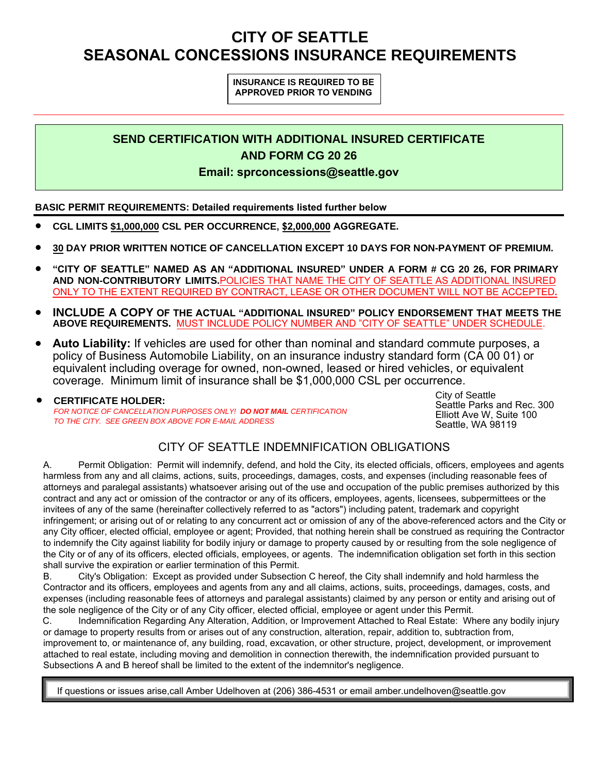# **CITY OF SEATTLE SEASONAL CONCESSIONS INSURANCE REQUIREMENTS**

#### **INSURANCE IS REQUIRED TO BE APPROVED PRIOR TO VENDING**

# **SEND CERTIFICATION WITH ADDITIONAL INSURED CERTIFICATE AND FORM CG 20 26**

#### **Email: sprconcessions@seattle.gov**

#### **BASIC PERMIT REQUIREMENTS: Detailed requirements listed further below**

- **CGL LIMITS \$1,000,000 CSL PER OCCURRENCE, \$2,000,000 AGGREGATE.**
- **30 DAY PRIOR WRITTEN NOTICE OF CANCELLATION EXCEPT 10 DAYS FOR NON-PAYMENT OF PREMIUM.**
- **"CITY OF SEATTLE" NAMED AS AN "ADDITIONAL INSURED" UNDER A FORM # CG 20 26, FOR PRIMARY AND NON-CONTRIBUTORY LIMITS.**POLICIES THAT NAME THE CITY OF SEATTLE AS ADDITIONAL INSURED ONLY TO THE EXTENT REQUIRED BY CONTRACT, LEASE OR OTHER DOCUMENT WILL NOT BE ACCEPTED**.**
- **INCLUDE A COPY OF THE ACTUAL "ADDITIONAL INSURED" POLICY ENDORSEMENT THAT MEETS THE ABOVE REQUIREMENTS.** MUST INCLUDE POLICY NUMBER AND "CITY OF SEATTLE" UNDER SCHEDULE.
- **Auto Liability:** If vehicles are used for other than nominal and standard commute purposes, a policy of Business Automobile Liability, on an insurance industry standard form (CA 00 01) or equivalent including overage for owned, non-owned, leased or hired vehicles, or equivalent coverage. Minimum limit of insurance shall be \$1,000,000 CSL per occurrence.

 **CERTIFICATE HOLDER:** *FOR NOTICE OF CANCELLATION PURPOSES ONLY! DO NOT MAIL CERTIFICATION TO THE CITY. SEE GREEN BOX ABOVE FOR E-MAIL ADDRESS*

City of Seattle Seattle Parks and Rec. 300 Elliott Ave W, Suite 100 Seattle, WA 98119

## CITY OF SEATTLE INDEMNIFICATION OBLIGATIONS

A. Permit Obligation: Permit will indemnify, defend, and hold the City, its elected officials, officers, employees and agents harmless from any and all claims, actions, suits, proceedings, damages, costs, and expenses (including reasonable fees of attorneys and paralegal assistants) whatsoever arising out of the use and occupation of the public premises authorized by this contract and any act or omission of the contractor or any of its officers, employees, agents, licensees, subpermittees or the invitees of any of the same (hereinafter collectively referred to as "actors") including patent, trademark and copyright infringement; or arising out of or relating to any concurrent act or omission of any of the above-referenced actors and the City or any City officer, elected official, employee or agent; Provided, that nothing herein shall be construed as requiring the Contractor to indemnify the City against liability for bodily injury or damage to property caused by or resulting from the sole negligence of the City or of any of its officers, elected officials, employees, or agents. The indemnification obligation set forth in this section shall survive the expiration or earlier termination of this Permit.

B. City's Obligation: Except as provided under Subsection C hereof, the City shall indemnify and hold harmless the Contractor and its officers, employees and agents from any and all claims, actions, suits, proceedings, damages, costs, and expenses (including reasonable fees of attorneys and paralegal assistants) claimed by any person or entity and arising out of the sole negligence of the City or of any City officer, elected official, employee or agent under this Permit.

C. Indemnification Regarding Any Alteration, Addition, or Improvement Attached to Real Estate: Where any bodily injury or damage to property results from or arises out of any construction, alteration, repair, addition to, subtraction from, improvement to, or maintenance of, any building, road, excavation, or other structure, project, development, or improvement attached to real estate, including moving and demolition in connection therewith, the indemnification provided pursuant to Subsections A and B hereof shall be limited to the extent of the indemnitor's negligence.

If questions or issues arise,call Amber Udelhoven at (206) 386-4531 or email amber.u[ndelhoven@seattle.gov](mailto:keith.ayling@seattle.gov)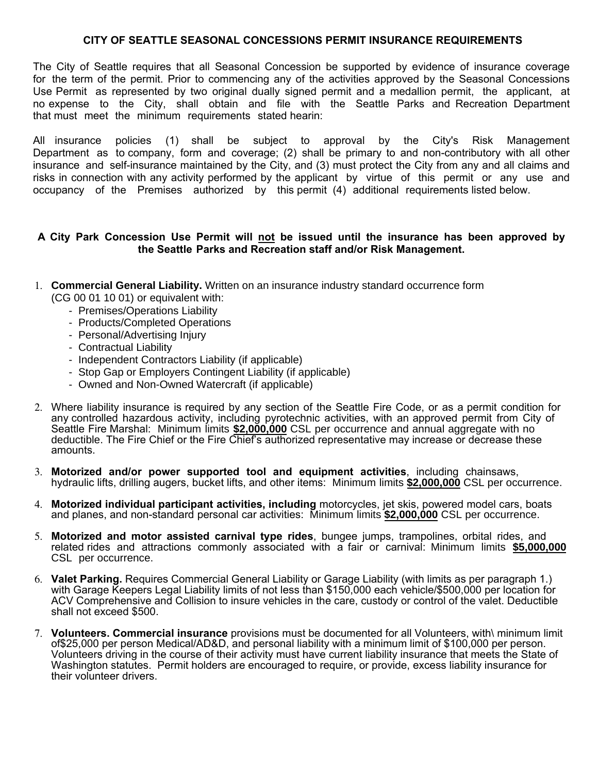#### **CITY OF SEATTLE SEASONAL CONCESSIONS PERMIT INSURANCE REQUIREMENTS**

The City of Seattle requires that all Seasonal Concession be supported by evidence of insurance coverage for the term of the permit. Prior to commencing any of the activities approved by the Seasonal Concessions Use Permit as represented by two original dually signed permit and a medallion permit, the applicant, at no expense to the City, shall obtain and file with the Seattle Parks and Recreation Department that must meet the minimum requirements stated hearin:

All insurance policies (1) shall be subject to approval by the City's Risk Management Department as to company, form and coverage; (2) shall be primary to and non-contributory with all other insurance and self-insurance maintained by the City, and (3) must protect the City from any and all claims and risks in connection with any activity performed by the applicant by virtue of this permit or any use and occupancy of the Premises authorized by this permit (4) additional requirements listed below.

#### **A City Park Concession Use Permit will not be issued until the insurance has been approved by the Seattle Parks and Recreation staff and/or Risk Management.**

- 1. **Commercial General Liability.** Written on an insurance industry standard occurrence form (CG 00 01 10 01) or equivalent with:
	- Premises/Operations Liability
	- Products/Completed Operations
	- Personal/Advertising Injury
	- Contractual Liability
	- Independent Contractors Liability (if applicable)
	- Stop Gap or Employers Contingent Liability (if applicable)
	- Owned and Non-Owned Watercraft (if applicable)
- 2. Where liability insurance is required by any section of the Seattle Fire Code, or as a permit condition for any controlled hazardous activity, including pyrotechnic activities, with an approved permit from City of Seattle Fire Marshal: Minimum limits **\$2,000,000** CSL per occurrence and annual aggregate with no deductible. The Fire Chief or the Fire Chief's authorized representative may increase or decrease these amounts.
- 3. **Motorized and/or power supported tool and equipment activities**, including chainsaws, hydraulic lifts, drilling augers, bucket lifts, and other items: Minimum limits **\$2,000,000** CSL per occurrence.
- 4. **Motorized individual participant activities, including** motorcycles, jet skis, powered model cars, boats and planes, and non-standard personal car activities: Minimum limits **\$2,000,000** CSL per occurrence.
- 5. **Motorized and motor assisted carnival type rides**, bungee jumps, trampolines, orbital rides, and related rides and attractions commonly associated with a fair or carnival: Minimum limits **\$5,000,000** CSL per occurrence.
- 6. **Valet Parking.** Requires Commercial General Liability or Garage Liability (with limits as per paragraph 1.) with Garage Keepers Legal Liability limits of not less than \$150,000 each vehicle/\$500,000 per location for ACV Comprehensive and Collision to insure vehicles in the care, custody or control of the valet. Deductible shall not exceed \$500.
- 7. **Volunteers. Commercial insurance** provisions must be documented for all Volunteers, with\ minimum limit of\$25,000 per person Medical/AD&D, and personal liability with a minimum limit of \$100,000 per person. Volunteers driving in the course of their activity must have current liability insurance that meets the State of Washington statutes. Permit holders are encouraged to require, or provide, excess liability insurance for their volunteer drivers.